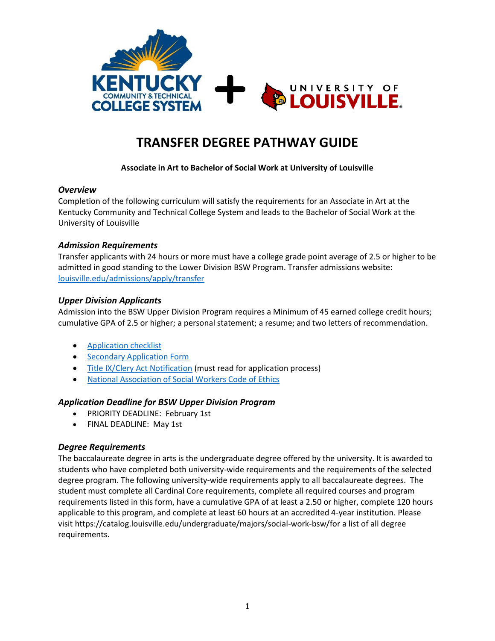

# **TRANSFER DEGREE PATHWAY GUIDE**

#### **Associate in Art to Bachelor of Social Work at University of Louisville**

#### *Overview*

Completion of the following curriculum will satisfy the requirements for an Associate in Art at the Kentucky Community and Technical College System and leads to the Bachelor of Social Work at the University of Louisville

#### *Admission Requirements*

Transfer applicants with 24 hours or more must have a college grade point average of 2.5 or higher to be admitted in good standing to the Lower Division BSW Program. Transfer admissions website: [louisville.edu/admissions/apply/transfer](http://louisville.edu/admissions/apply/transfer)

#### *Upper Division Applicants*

Admission into the BSW Upper Division Program requires a Minimum of 45 earned college credit hours; cumulative GPA of 2.5 or higher; a personal statement; a resume; and two letters of recommendation.

- [Application checklist](http://louisville.edu/kent/admissions-1/bsw-admissions-links/application-checklist)
- [Secondary Application Form](http://louisville.edu/kent/admissions-1/bsw-admissions-links/secondary-application-form)
- [Title IX/Clery Act Notification](http://louisville.edu/kent/admissions-1/bsw-admissions/title-ix-clery-act-notification) (must read for application process)
- [National Association of Social Workers Code of Ethics](http://louisville.edu/kent/admissions-1/bsw-admissions-links/code-of-ethics)

#### *Application Deadline for BSW Upper Division Program*

- PRIORITY DEADLINE: February 1st
- FINAL DEADLINE: May 1st

#### *Degree Requirements*

The baccalaureate degree in arts is the undergraduate degree offered by the university. It is awarded to students who have completed both university-wide requirements and the requirements of the selected degree program. The following university-wide requirements apply to all baccalaureate degrees. The student must complete all Cardinal Core requirements, complete all required courses and program requirements listed in this form, have a cumulative GPA of at least a 2.50 or higher, complete 120 hours applicable to this program, and complete at least 60 hours at an accredited 4-year institution. Please visit https://catalog.louisville.edu/undergraduate/majors/social-work-bsw/for a list of all degree requirements.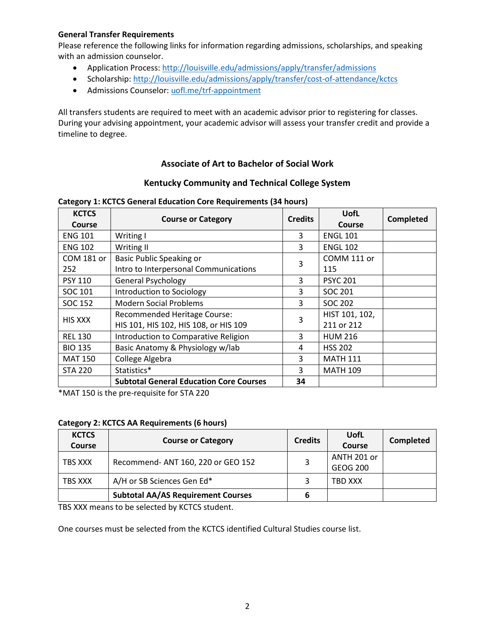#### **General Transfer Requirements**

Please reference the following links for information regarding admissions, scholarships, and speaking with an admission counselor.

- Application Process[: http://louisville.edu/admissions/apply/transfer/admissions](http://louisville.edu/admissions/apply/transfer/admissions)
- Scholarship[: http://louisville.edu/admissions/apply/transfer/cost-of-attendance/kctcs](http://louisville.edu/admissions/apply/transfer/cost-of-attendance/kctcs)
- Admissions Counselor[: uofl.me/trf-appointment](http://uofl.me/trf-appointment)

All transfers students are required to meet with an academic advisor prior to registering for classes. During your advising appointment, your academic advisor will assess your transfer credit and provide a timeline to degree.

#### **Associate of Art to Bachelor of Social Work**

#### **Kentucky Community and Technical College System**

| <b>KCTCS</b>   | <b>Course or Category</b>                      | <b>Credits</b> | UofL            | <b>Completed</b> |  |
|----------------|------------------------------------------------|----------------|-----------------|------------------|--|
| <b>Course</b>  |                                                |                | <b>Course</b>   |                  |  |
| <b>ENG 101</b> | Writing I                                      | 3              | <b>ENGL 101</b> |                  |  |
| <b>ENG 102</b> | Writing II                                     | 3              | <b>ENGL 102</b> |                  |  |
| COM 181 or     | Basic Public Speaking or                       | 3              | COMM 111 or     |                  |  |
| 252            | Intro to Interpersonal Communications          |                | 115             |                  |  |
| <b>PSY 110</b> | <b>General Psychology</b>                      | 3              | <b>PSYC 201</b> |                  |  |
| SOC 101        | Introduction to Sociology                      | 3              | SOC 201         |                  |  |
| SOC 152        | <b>Modern Social Problems</b>                  | 3              | SOC 202         |                  |  |
| <b>HIS XXX</b> | Recommended Heritage Course:                   | 3              | HIST 101, 102,  |                  |  |
|                | HIS 101, HIS 102, HIS 108, or HIS 109          |                | 211 or 212      |                  |  |
| <b>REL 130</b> | Introduction to Comparative Religion           | 3              | <b>HUM 216</b>  |                  |  |
| <b>BIO 135</b> | Basic Anatomy & Physiology w/lab               | 4              | <b>HSS 202</b>  |                  |  |
| <b>MAT 150</b> | College Algebra                                | 3              | <b>MATH 111</b> |                  |  |
| <b>STA 220</b> | Statistics*                                    | 3              | <b>MATH 109</b> |                  |  |
|                | <b>Subtotal General Education Core Courses</b> | 34             |                 |                  |  |

#### **Category 1: KCTCS General Education Core Requirements (34 hours)**

\*MAT 150 is the pre-requisite for STA 220

#### **Category 2: KCTCS AA Requirements (6 hours)**

| <b>KCTCS</b><br><b>Course</b> | <b>Course or Category</b>                 | <b>Credits</b> | <b>UofL</b><br>Course   | Completed |
|-------------------------------|-------------------------------------------|----------------|-------------------------|-----------|
| TBS XXX                       | Recommend- ANT 160, 220 or GEO 152        |                | ANTH 201 or<br>GEOG 200 |           |
| TBS XXX                       | A/H or SB Sciences Gen Ed*                |                | TBD XXX                 |           |
|                               | <b>Subtotal AA/AS Requirement Courses</b> |                |                         |           |

TBS XXX means to be selected by KCTCS student.

One courses must be selected from the KCTCS identified Cultural Studies course list.